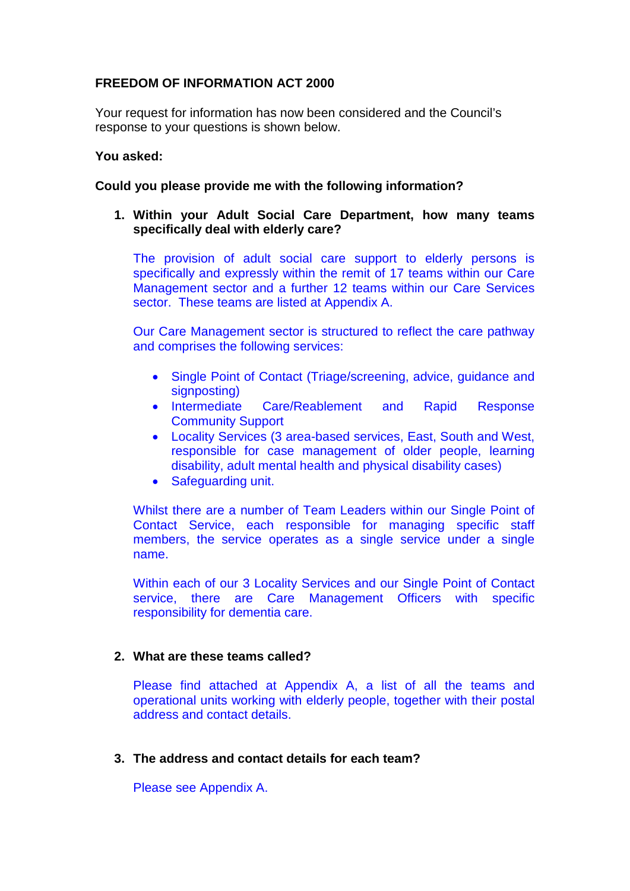# **FREEDOM OF INFORMATION ACT 2000**

Your request for information has now been considered and the Council's response to your questions is shown below.

## **You asked:**

# **Could you please provide me with the following information?**

# **1. Within your Adult Social Care Department, how many teams specifically deal with elderly care?**

The provision of adult social care support to elderly persons is specifically and expressly within the remit of 17 teams within our Care Management sector and a further 12 teams within our Care Services sector. These teams are listed at Appendix A.

Our Care Management sector is structured to reflect the care pathway and comprises the following services:

- Single Point of Contact (Triage/screening, advice, guidance and signposting)
- Intermediate Care/Reablement and Rapid Response Community Support
- Locality Services (3 area-based services, East, South and West, responsible for case management of older people, learning disability, adult mental health and physical disability cases)
- Safeguarding unit.

Whilst there are a number of Team Leaders within our Single Point of Contact Service, each responsible for managing specific staff members, the service operates as a single service under a single name.

Within each of our 3 Locality Services and our Single Point of Contact service, there are Care Management Officers with specific responsibility for dementia care.

# **2. What are these teams called?**

Please find attached at Appendix A, a list of all the teams and operational units working with elderly people, together with their postal address and contact details.

# **3. The address and contact details for each team?**

Please see Appendix A.